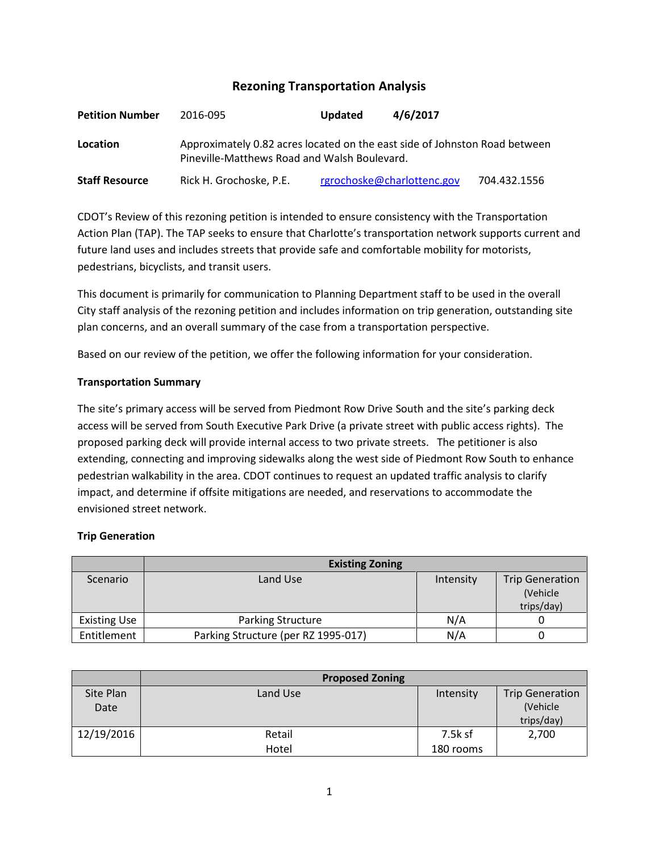# **Rezoning Transportation Analysis**

| <b>Petition Number</b> | 2016-095                                                                                                                   | <b>Updated</b> | 4/6/2017                   |              |  |  |
|------------------------|----------------------------------------------------------------------------------------------------------------------------|----------------|----------------------------|--------------|--|--|
| Location               | Approximately 0.82 acres located on the east side of Johnston Road between<br>Pineville-Matthews Road and Walsh Boulevard. |                |                            |              |  |  |
| <b>Staff Resource</b>  | Rick H. Grochoske, P.E.                                                                                                    |                | rgrochoske@charlottenc.gov | 704.432.1556 |  |  |

CDOT's Review of this rezoning petition is intended to ensure consistency with the Transportation Action Plan (TAP). The TAP seeks to ensure that Charlotte's transportation network supports current and future land uses and includes streets that provide safe and comfortable mobility for motorists, pedestrians, bicyclists, and transit users.

This document is primarily for communication to Planning Department staff to be used in the overall City staff analysis of the rezoning petition and includes information on trip generation, outstanding site plan concerns, and an overall summary of the case from a transportation perspective.

Based on our review of the petition, we offer the following information for your consideration.

#### **Transportation Summary**

The site's primary access will be served from Piedmont Row Drive South and the site's parking deck access will be served from South Executive Park Drive (a private street with public access rights). The proposed parking deck will provide internal access to two private streets. The petitioner is also extending, connecting and improving sidewalks along the west side of Piedmont Row South to enhance pedestrian walkability in the area. CDOT continues to request an updated traffic analysis to clarify impact, and determine if offsite mitigations are needed, and reservations to accommodate the envisioned street network.

# **Trip Generation**

|                     | <b>Existing Zoning</b>              |           |                                                  |
|---------------------|-------------------------------------|-----------|--------------------------------------------------|
| Scenario            | Land Use                            | Intensity | <b>Trip Generation</b><br>(Vehicle<br>trips/day) |
| <b>Existing Use</b> | <b>Parking Structure</b>            | N/A       |                                                  |
| Entitlement         | Parking Structure (per RZ 1995-017) | N/A       |                                                  |

|            | <b>Proposed Zoning</b> |           |                        |
|------------|------------------------|-----------|------------------------|
| Site Plan  | Land Use               | Intensity | <b>Trip Generation</b> |
| Date       |                        |           | (Vehicle               |
|            |                        |           | trips/day)             |
| 12/19/2016 | Retail                 | 7.5k sf   | 2,700                  |
|            | Hotel                  | 180 rooms |                        |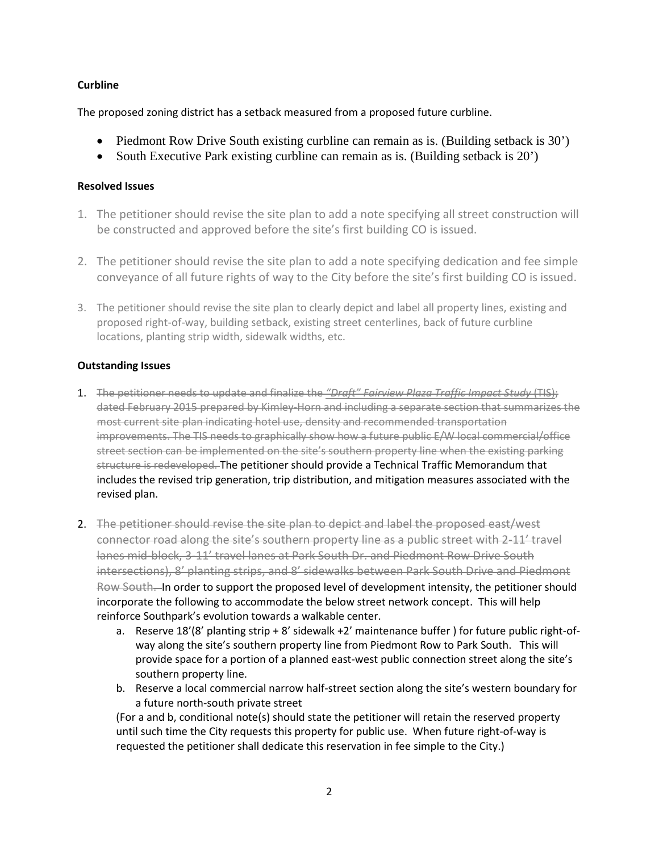### **Curbline**

The proposed zoning district has a setback measured from a proposed future curbline.

- Piedmont Row Drive South existing curbline can remain as is. (Building setback is 30')
- South Executive Park existing curbline can remain as is. (Building setback is 20')

#### **Resolved Issues**

- 1. The petitioner should revise the site plan to add a note specifying all street construction will be constructed and approved before the site's first building CO is issued.
- 2. The petitioner should revise the site plan to add a note specifying dedication and fee simple conveyance of all future rights of way to the City before the site's first building CO is issued.
- 3. The petitioner should revise the site plan to clearly depict and label all property lines, existing and proposed right-of-way, building setback, existing street centerlines, back of future curbline locations, planting strip width, sidewalk widths, etc.

#### **Outstanding Issues**

- 1. The petitioner needs to update and finalize the *"Draft" Fairview Plaza Traffic Impact Study* (TIS); dated February 2015 prepared by Kimley-Horn and including a separate section that summarizes the most current site plan indicating hotel use, density and recommended transportation improvements. The TIS needs to graphically show how a future public E/W local commercial/office street section can be implemented on the site's southern property line when the existing parking structure is redeveloped. The petitioner should provide a Technical Traffic Memorandum that includes the revised trip generation, trip distribution, and mitigation measures associated with the revised plan.
- 2. The petitioner should revise the site plan to depict and label the proposed east/west connector road along the site's southern property line as a public street with 2-11' travel lanes mid-block, 3-11' travel lanes at Park South Dr. and Piedmont Row Drive South intersections), 8' planting strips, and 8' sidewalks between Park South Drive and Piedmont Row South. In order to support the proposed level of development intensity, the petitioner should incorporate the following to accommodate the below street network concept. This will help reinforce Southpark's evolution towards a walkable center.
	- a. Reserve 18'(8' planting strip + 8' sidewalk +2' maintenance buffer ) for future public right-ofway along the site's southern property line from Piedmont Row to Park South. This will provide space for a portion of a planned east-west public connection street along the site's southern property line.
	- b. Reserve a local commercial narrow half-street section along the site's western boundary for a future north-south private street

(For a and b, conditional note(s) should state the petitioner will retain the reserved property until such time the City requests this property for public use. When future right-of-way is requested the petitioner shall dedicate this reservation in fee simple to the City.)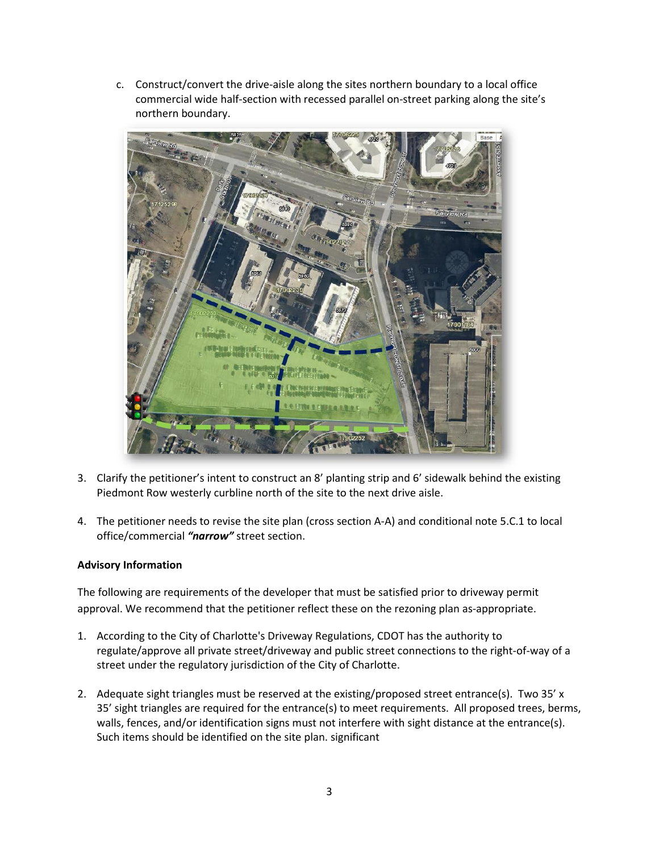c. Construct/convert the drive-aisle along the sites northern boundary to a local office commercial wide half-section with recessed parallel on-street parking along the site's northern boundary.



- 3. Clarify the petitioner's intent to construct an 8' planting strip and 6' sidewalk behind the existing Piedmont Row westerly curbline north of the site to the next drive aisle.
- 4. The petitioner needs to revise the site plan (cross section A-A) and conditional note 5.C.1 to local office/commercial *"narrow"* street section.

# **Advisory Information**

The following are requirements of the developer that must be satisfied prior to driveway permit approval. We recommend that the petitioner reflect these on the rezoning plan as-appropriate.

- 1. According to the City of Charlotte's Driveway Regulations, CDOT has the authority to regulate/approve all private street/driveway and public street connections to the right-of-way of a street under the regulatory jurisdiction of the City of Charlotte.
- 2. Adequate sight triangles must be reserved at the existing/proposed street entrance(s). Two 35' x 35' sight triangles are required for the entrance(s) to meet requirements. All proposed trees, berms, walls, fences, and/or identification signs must not interfere with sight distance at the entrance(s). Such items should be identified on the site plan. significant